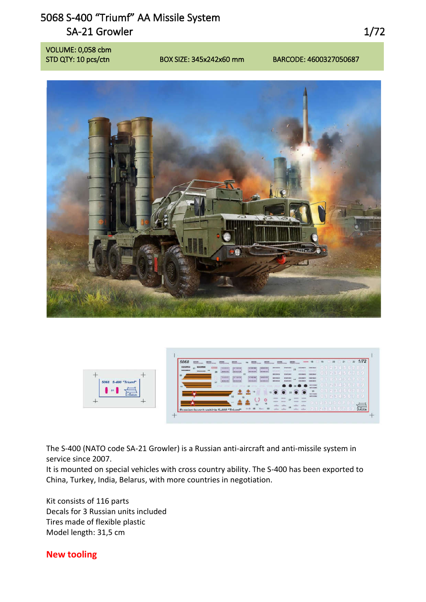## 5068 S-400 "Triumf" AA Missile System SA-21 Growler 2012 1/72

VOLUME: 0,058 cbm





The S-400 (NATO code SA-21 Growler) is a Russian anti-aircraft and anti-missile system in service since 2007.

It is mounted on special vehicles with cross country ability. The S-400 has been exported to China, Turkey, India, Belarus, with more countries in negotiation.

Kit consists of 116 parts Decals for 3 Russian units included Tires made of flexible plastic Model length: 31,5 cm

## New tooling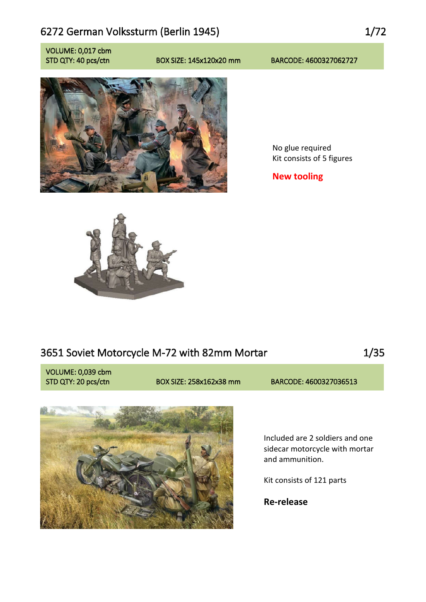## 6272 German Volkssturm (Berlin 1945) 1/72

VOLUME: 0,017 cbm

### STD QTY: 40 pcs/ctn BOX SIZE: 145x120x20 mm BARCODE: 4600327062727



No glue required Kit consists of 5 figures

New tooling



## 3651 Soviet Motorcycle M-72 with 82mm Mortar 15651 Soviet Motorcycle M-72 with 82mm Mortar

VOLUME: 0,039 cbm

STD QTY: 20 pcs/ctn BOX SIZE: 258x162x38 mm BARCODE: 4600327036513



Included are 2 soldiers and one sidecar motorcycle with mortar and ammunition.

Kit consists of 121 parts

Re-release